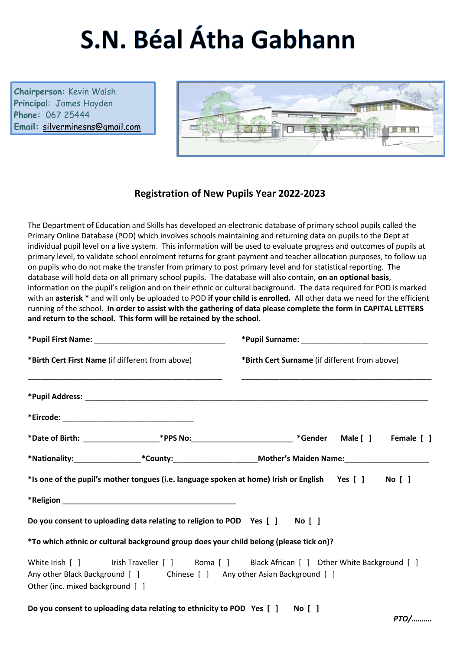# S.N. Béal Átha Gabhann

**Chairperson:** Kevin Walsh **Principal**: James Hayden **Phone:** 067 25444 **Email:** [silverminesns@gmail.com](mailto:silverminesns@gmail.com)



## **Registration of New Pupils Year 2022-2023**

The Department of Education and Skills has developed an electronic database of primary school pupils called the Primary Online Database (POD) which involves schools maintaining and returning data on pupils to the Dept at individual pupil level on a live system. This information will be used to evaluate progress and outcomes of pupils at primary level, to validate school enrolment returns for grant payment and teacher allocation purposes, to follow up on pupils who do not make the transfer from primary to post primary level and for statistical reporting. The database will hold data on all primary school pupils. The database will also contain, **on an optional basis**, information on the pupil's religion and on their ethnic or cultural background. The data required for POD is marked with an **asterisk \*** and will only be uploaded to POD **if your child is enrolled.** All other data we need for the efficient running of the school. **In order to assist with the gathering of data please complete the form in CAPITAL LETTERS and return to the school. This form will be retained by the school.**

| *Birth Cert First Name (if different from above)                                                              | *Birth Cert Surname (if different from above)                                                                  |  |  |  |
|---------------------------------------------------------------------------------------------------------------|----------------------------------------------------------------------------------------------------------------|--|--|--|
|                                                                                                               |                                                                                                                |  |  |  |
|                                                                                                               |                                                                                                                |  |  |  |
|                                                                                                               | *Date of Birth: ________________________*PPS No:______________________________*Gender Male [ ] Female [ ]      |  |  |  |
|                                                                                                               | *Nationality:____________________*County:__________________________Mother's Maiden Name:______________________ |  |  |  |
|                                                                                                               | *Is one of the pupil's mother tongues (i.e. language spoken at home) Irish or English Yes [] No []             |  |  |  |
|                                                                                                               |                                                                                                                |  |  |  |
| Do you consent to uploading data relating to religion to POD Yes [ ] No [ ]                                   |                                                                                                                |  |  |  |
| *To which ethnic or cultural background group does your child belong (please tick on)?                        |                                                                                                                |  |  |  |
| Any other Black Background [ ] Chinese [ ] Any other Asian Background [ ]<br>Other (inc. mixed background [ ] | White Irish [ ] Irish Traveller [ ] Roma [ ] Black African [ ] Other White Background [ ]                      |  |  |  |

**Do you consent to uploading data relating to ethnicity to POD Yes [ ] No [ ]**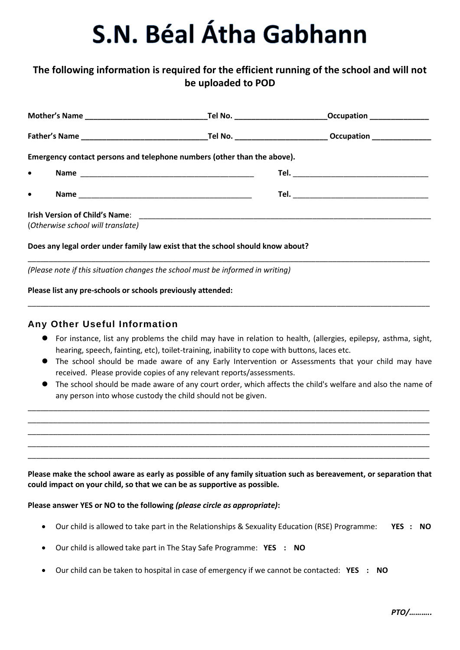# S.N. Béal Átha Gabhann

## **The following information is required for the efficient running of the school and will not be uploaded to POD**

| Emergency contact persons and telephone numbers (other than the above).        |                                   |  |  |  |  |
|--------------------------------------------------------------------------------|-----------------------------------|--|--|--|--|
| $\bullet$                                                                      |                                   |  |  |  |  |
| $\bullet$                                                                      |                                   |  |  |  |  |
|                                                                                |                                   |  |  |  |  |
|                                                                                | (Otherwise school will translate) |  |  |  |  |
| Does any legal order under family law exist that the school should know about? |                                   |  |  |  |  |

\_\_\_\_\_\_\_\_\_\_\_\_\_\_\_\_\_\_\_\_\_\_\_\_\_\_\_\_\_\_\_\_\_\_\_\_\_\_\_\_\_\_\_\_\_\_\_\_\_\_\_\_\_\_\_\_\_\_\_\_\_\_\_\_\_\_\_\_\_\_\_\_\_\_\_\_\_\_\_\_\_\_\_\_\_\_\_\_\_\_\_\_\_\_\_

\_\_\_\_\_\_\_\_\_\_\_\_\_\_\_\_\_\_\_\_\_\_\_\_\_\_\_\_\_\_\_\_\_\_\_\_\_\_\_\_\_\_\_\_\_\_\_\_\_\_\_\_\_\_\_\_\_\_\_\_\_\_\_\_\_\_\_\_\_\_\_\_\_\_\_\_\_\_\_\_\_\_\_\_\_\_\_\_\_\_\_\_\_\_\_

*(Please note if this situation changes the school must be informed in writing)*

#### **Please list any pre-schools or schools previously attended:**

### **Any Other Useful Information**

- For instance, list any problems the child may have in relation to health, (allergies, epilepsy, asthma, sight, hearing, speech, fainting, etc), toilet-training, inability to cope with buttons, laces etc.
- The school should be made aware of any Early Intervention or Assessments that your child may have received. Please provide copies of any relevant reports/assessments.
- The school should be made aware of any court order, which affects the child's welfare and also the name of any person into whose custody the child should not be given.

\_\_\_\_\_\_\_\_\_\_\_\_\_\_\_\_\_\_\_\_\_\_\_\_\_\_\_\_\_\_\_\_\_\_\_\_\_\_\_\_\_\_\_\_\_\_\_\_\_\_\_\_\_\_\_\_\_\_\_\_\_\_\_\_\_\_\_\_\_\_\_\_\_\_\_\_\_\_\_\_\_\_\_\_\_\_\_\_\_\_\_\_\_\_\_ \_\_\_\_\_\_\_\_\_\_\_\_\_\_\_\_\_\_\_\_\_\_\_\_\_\_\_\_\_\_\_\_\_\_\_\_\_\_\_\_\_\_\_\_\_\_\_\_\_\_\_\_\_\_\_\_\_\_\_\_\_\_\_\_\_\_\_\_\_\_\_\_\_\_\_\_\_\_\_\_\_\_\_\_\_\_\_\_\_\_\_\_\_\_\_ \_\_\_\_\_\_\_\_\_\_\_\_\_\_\_\_\_\_\_\_\_\_\_\_\_\_\_\_\_\_\_\_\_\_\_\_\_\_\_\_\_\_\_\_\_\_\_\_\_\_\_\_\_\_\_\_\_\_\_\_\_\_\_\_\_\_\_\_\_\_\_\_\_\_\_\_\_\_\_\_\_\_\_\_\_\_\_\_\_\_\_\_\_\_\_ \_\_\_\_\_\_\_\_\_\_\_\_\_\_\_\_\_\_\_\_\_\_\_\_\_\_\_\_\_\_\_\_\_\_\_\_\_\_\_\_\_\_\_\_\_\_\_\_\_\_\_\_\_\_\_\_\_\_\_\_\_\_\_\_\_\_\_\_\_\_\_\_\_\_\_\_\_\_\_\_\_\_\_\_\_\_\_\_\_\_\_\_\_\_\_ \_\_\_\_\_\_\_\_\_\_\_\_\_\_\_\_\_\_\_\_\_\_\_\_\_\_\_\_\_\_\_\_\_\_\_\_\_\_\_\_\_\_\_\_\_\_\_\_\_\_\_\_\_\_\_\_\_\_\_\_\_\_\_\_\_\_\_\_\_\_\_\_\_\_\_\_\_\_\_\_\_\_\_\_\_\_\_\_\_\_\_\_\_\_\_

**Please make the school aware as early as possible of any family situation such as bereavement, or separation that could impact on your child, so that we can be as supportive as possible.**

### **Please answer YES or NO to the following** *(please circle as appropriate)***:**

- Our child is allowed to take part in the Relationships & Sexuality Education (RSE) Programme: **YES : NO**
- Our child is allowed take part in The Stay Safe Programme: **YES : NO**
- Our child can be taken to hospital in case of emergency if we cannot be contacted: **YES : NO**